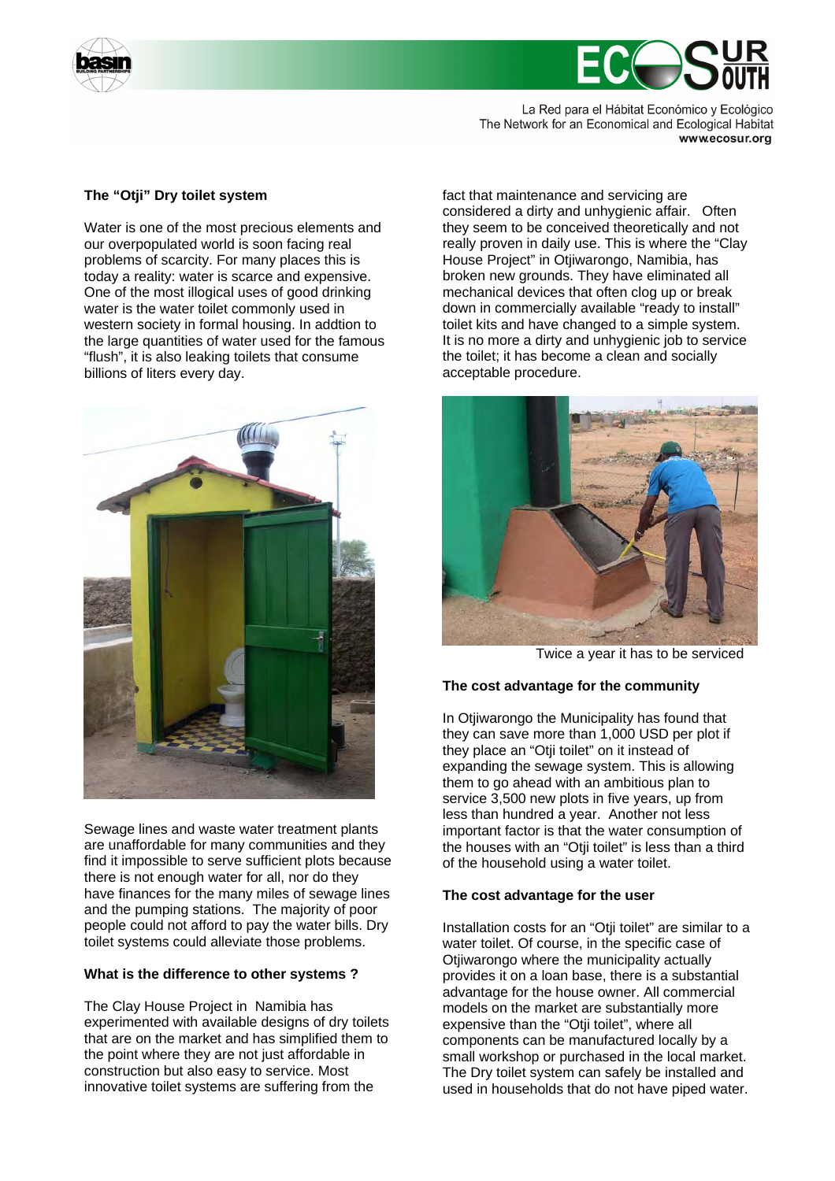

La Red para el Hábitat Económico y Ecológico The Network for an Economical and Ecological Habitat www.ecosur.org

# **The "Otji" Dry toilet system**

Water is one of the most precious elements and our overpopulated world is soon facing real problems of scarcity. For many places this is today a reality: water is scarce and expensive. One of the most illogical uses of good drinking water is the water toilet commonly used in western society in formal housing. In addtion to the large quantities of water used for the famous "flush", it is also leaking toilets that consume billions of liters every day.



Sewage lines and waste water treatment plants are unaffordable for many communities and they find it impossible to serve sufficient plots because there is not enough water for all, nor do they have finances for the many miles of sewage lines and the pumping stations. The majority of poor people could not afford to pay the water bills. Dry toilet systems could alleviate those problems.

# **What is the difference to other systems ?**

The Clay House Project in Namibia has experimented with available designs of dry toilets that are on the market and has simplified them to the point where they are not just affordable in construction but also easy to service. Most innovative toilet systems are suffering from the

fact that maintenance and servicing are considered a dirty and unhygienic affair. Often they seem to be conceived theoretically and not really proven in daily use. This is where the "Clay House Project" in Otjiwarongo, Namibia, has broken new grounds. They have eliminated all mechanical devices that often clog up or break down in commercially available "ready to install" toilet kits and have changed to a simple system. It is no more a dirty and unhygienic job to service the toilet; it has become a clean and socially acceptable procedure.



Twice a year it has to be serviced

#### **The cost advantage for the community**

In Otjiwarongo the Municipality has found that they can save more than 1,000 USD per plot if they place an "Otji toilet" on it instead of expanding the sewage system. This is allowing them to go ahead with an ambitious plan to service 3,500 new plots in five years, up from less than hundred a year. Another not less important factor is that the water consumption of the houses with an "Otji toilet" is less than a third of the household using a water toilet.

#### **The cost advantage for the user**

Installation costs for an "Otji toilet" are similar to a water toilet. Of course, in the specific case of Otiiwarongo where the municipality actually provides it on a loan base, there is a substantial advantage for the house owner. All commercial models on the market are substantially more expensive than the "Otji toilet", where all components can be manufactured locally by a small workshop or purchased in the local market. The Dry toilet system can safely be installed and used in households that do not have piped water.